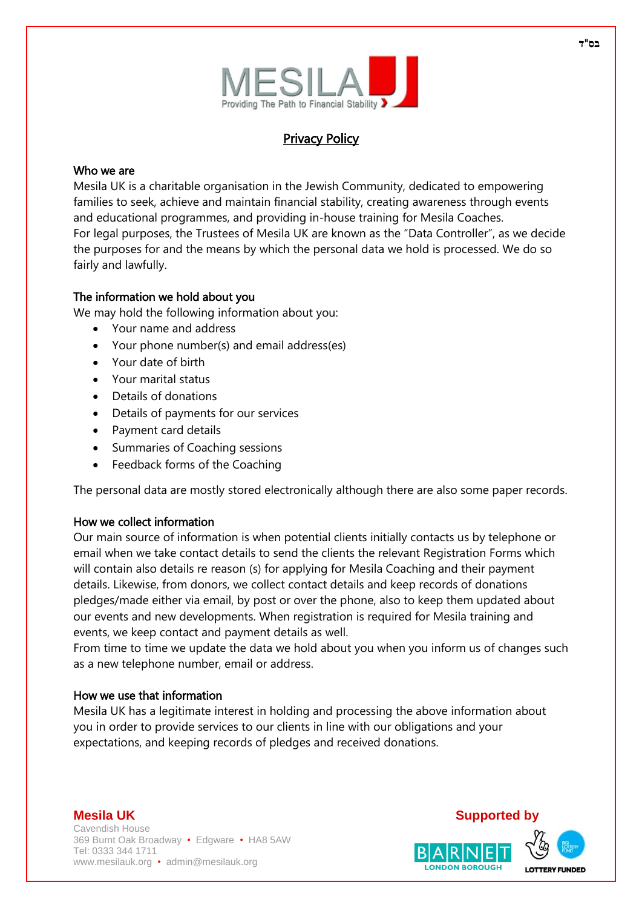

# **Privacy Policy**

#### Who we are

Mesila UK is a charitable organisation in the Jewish Community, dedicated to empowering families to seek, achieve and maintain financial stability, creating awareness through events and educational programmes, and providing in-house training for Mesila Coaches. For legal purposes, the Trustees of Mesila UK are known as the "Data Controller", as we decide the purposes for and the means by which the personal data we hold is processed. We do so fairly and lawfully.

## The information we hold about you

We may hold the following information about you:

- Your name and address
- Your phone number(s) and email address(es)
- Your date of birth
- Your marital status
- Details of donations
- Details of payments for our services
- Payment card details
- Summaries of Coaching sessions
- Feedback forms of the Coaching

The personal data are mostly stored electronically although there are also some paper records.

#### How we collect information

Our main source of information is when potential clients initially contacts us by telephone or email when we take contact details to send the clients the relevant Registration Forms which will contain also details re reason (s) for applying for Mesila Coaching and their payment details. Likewise, from donors, we collect contact details and keep records of donations pledges/made either via email, by post or over the phone, also to keep them updated about our events and new developments. When registration is required for Mesila training and events, we keep contact and payment details as well.

From time to time we update the data we hold about you when you inform us of changes such as a new telephone number, email or address.

#### How we use that information

Mesila UK has a legitimate interest in holding and processing the above information about you in order to provide services to our clients in line with our obligations and your expectations, and keeping records of pledges and received donations.

#### **Mesila UK Supported by** Cavendish House 369 Burnt Oak Broadway • Edgware • HA8 5AW Tel: 0333 344 1711 www.mesilauk.org • admin@mesilauk.org